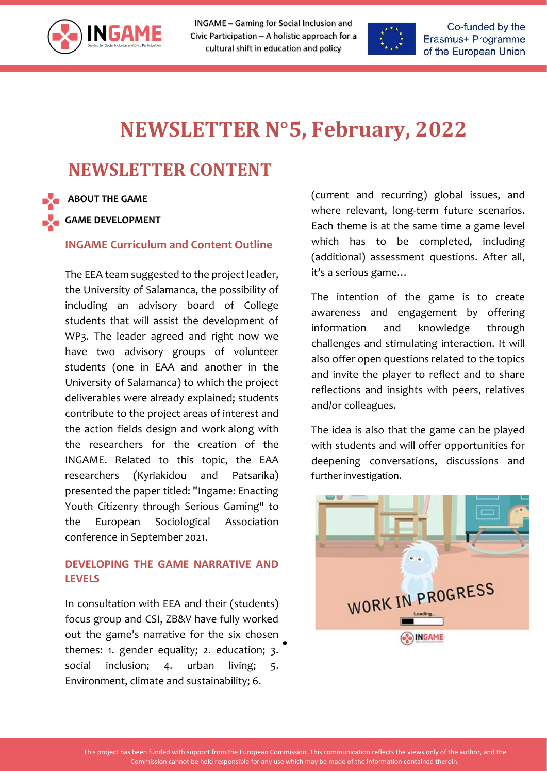

INGAME – Gaming for Social Inclusion and Civic Participation – A holistic approach for a cultural shift in education and policy



Co-funded by the Erasmus+ Programme of the European Union

## **NEWSLETTER N°5, February, 2022**

## **NEWSLETTER CONTENT Project Number 612166-EPP-1-2019-1-ES-EPPKA3-IPI-SOC-IN**

**ABOUT THE GAME**

**GAME DEVELOPMENT** 

**INGAME Curriculum and Content Outline**

The EEA team suggested to the project leader, the University of Salamanca, the possibility of including an advisory board of College students that will assist the development of WP3. The leader agreed and right now we have two advisory groups of volunteer students (one in EAA and another in the University of Salamanca) to which the project deliverables were already explained; students contribute to the project areas of interest and the action fields design and work along with the researchers for the creation of the INGAME. Related to this topic, the EAA researchers (Kyriakidou and Patsarika) presented the paper titled: "Ingame: Enacting Youth Citizenry through Serious Gaming" to the European Sociological Association conference in September 2021.

## **DEVELOPING THE GAME NARRATIVE AND LEVELS**

In consultation with EEA and their (students) focus group and CSI, ZB&V have fully worked out the game's narrative for the six chosen themes: 1. gender equality; 2. education; 3. social inclusion; 4. urban living; 5. Environment, climate and sustainability; 6. •

(current and recurring) global issues, and where relevant, long-term future scenarios. Each theme is at the same time a game level which has to be completed, including (additional) assessment questions. After all, it's a serious game…

The intention of the game is to create awareness and engagement by offering information and knowledge through challenges and stimulating interaction. It will also offer open questions related to the topics and invite the player to reflect and to share reflections and insights with peers, relatives and/or colleagues.

The idea is also that the game can be played with students and will offer opportunities for deepening conversations, discussions and further investigation.